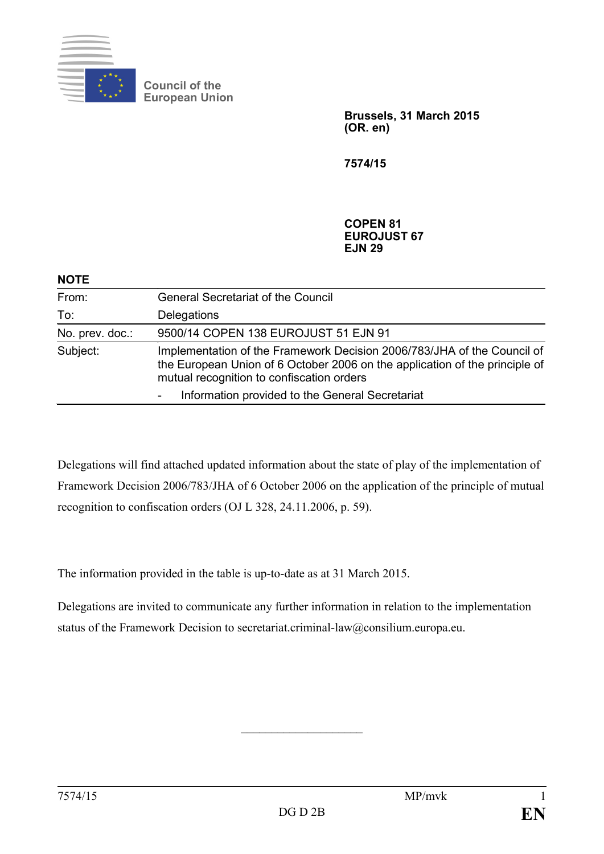

**NOTE** 

**Council of the European Union**

> **Brussels, 31 March 2015 (OR. en)**

**7574/15**

**COPEN 81 EUROJUST 67 EJN 29**

| NOIE            |                                                                                                                                                                                                     |
|-----------------|-----------------------------------------------------------------------------------------------------------------------------------------------------------------------------------------------------|
| From:           | <b>General Secretariat of the Council</b>                                                                                                                                                           |
| To:             | Delegations                                                                                                                                                                                         |
| No. prev. doc.: | 9500/14 COPEN 138 EUROJUST 51 EJN 91                                                                                                                                                                |
| Subject:        | Implementation of the Framework Decision 2006/783/JHA of the Council of<br>the European Union of 6 October 2006 on the application of the principle of<br>mutual recognition to confiscation orders |
|                 | Information provided to the General Secretariat                                                                                                                                                     |

Delegations will find attached updated information about the state of play of the implementation of Framework Decision 2006/783/JHA of 6 October 2006 on the application of the principle of mutual recognition to confiscation orders (OJ L 328, 24.11.2006, p. 59).

The information provided in the table is up-to-date as at 31 March 2015.

Delegations are invited to communicate any further information in relation to the implementation status of the Framework Decision to secretariat.criminal-law@consilium.europa.eu.

 $\overline{\phantom{a}}$  , and the set of the set of the set of the set of the set of the set of the set of the set of the set of the set of the set of the set of the set of the set of the set of the set of the set of the set of the s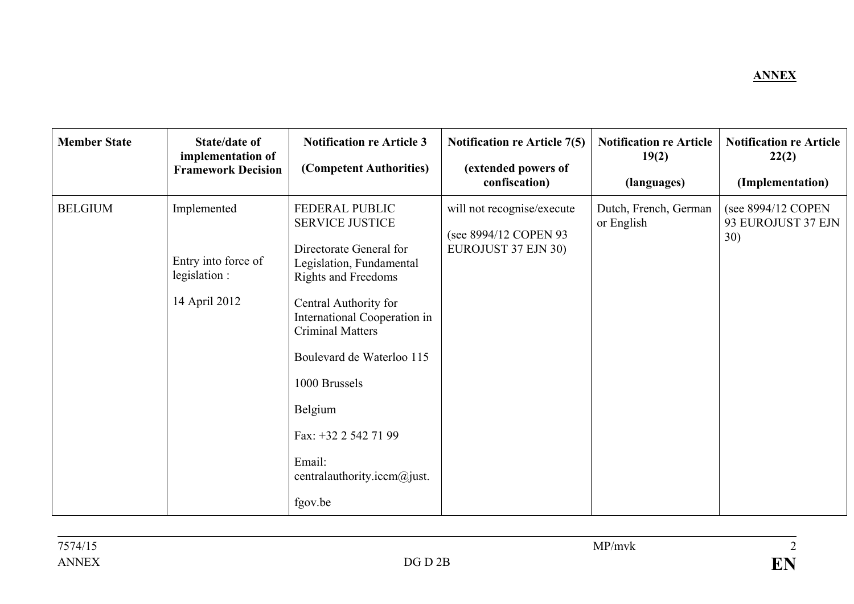## **ANNEX**

| <b>Member State</b> | State/date of<br>implementation of<br><b>Framework Decision</b>      | <b>Notification re Article 3</b><br>(Competent Authorities)                                                                                                                                                                                                                                                                                            | <b>Notification re Article 7(5)</b><br>(extended powers of<br>confiscation) | <b>Notification re Article</b><br>19(2)<br>(languages) | <b>Notification re Article</b><br>22(2)<br>(Implementation) |
|---------------------|----------------------------------------------------------------------|--------------------------------------------------------------------------------------------------------------------------------------------------------------------------------------------------------------------------------------------------------------------------------------------------------------------------------------------------------|-----------------------------------------------------------------------------|--------------------------------------------------------|-------------------------------------------------------------|
| <b>BELGIUM</b>      | Implemented<br>Entry into force of<br>legislation :<br>14 April 2012 | FEDERAL PUBLIC<br><b>SERVICE JUSTICE</b><br>Directorate General for<br>Legislation, Fundamental<br><b>Rights and Freedoms</b><br>Central Authority for<br>International Cooperation in<br><b>Criminal Matters</b><br>Boulevard de Waterloo 115<br>1000 Brussels<br>Belgium<br>Fax: +32 2 542 71 99<br>Email:<br>centralauthority.iccm@just.<br>fgov.be | will not recognise/execute<br>(see 8994/12 COPEN 93<br>EUROJUST 37 EJN 30)  | Dutch, French, German<br>or English                    | (see 8994/12 COPEN<br>93 EUROJUST 37 EJN<br>30)             |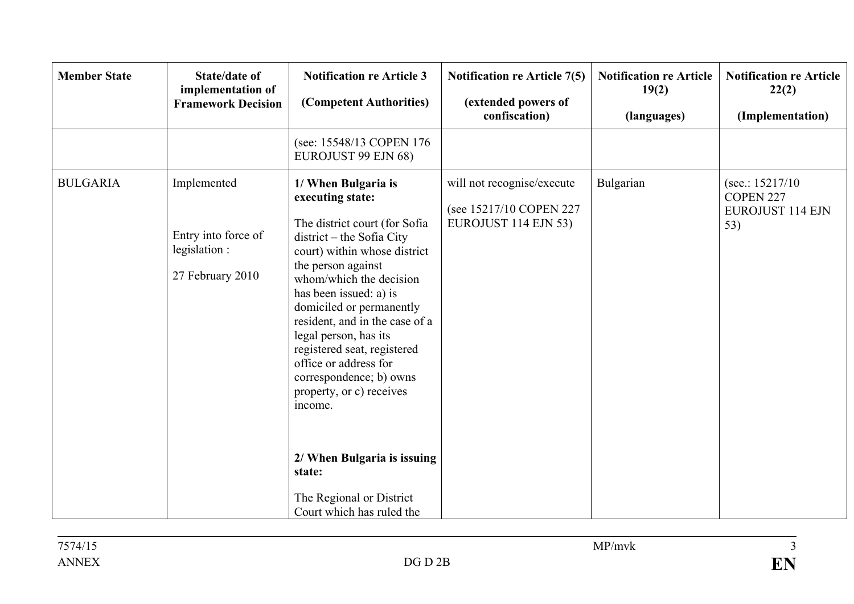| <b>Member State</b> | <b>State/date of</b><br>implementation of<br><b>Framework Decision</b>  | <b>Notification re Article 3</b><br>(Competent Authorities)                                                                                                                                                                                                                                                                                                                                                                                                                                            | <b>Notification re Article 7(5)</b><br>(extended powers of<br>confiscation)    | <b>Notification re Article</b><br>19(2)<br>(languages) | <b>Notification re Article</b><br>22(2)<br>(Implementation)      |
|---------------------|-------------------------------------------------------------------------|--------------------------------------------------------------------------------------------------------------------------------------------------------------------------------------------------------------------------------------------------------------------------------------------------------------------------------------------------------------------------------------------------------------------------------------------------------------------------------------------------------|--------------------------------------------------------------------------------|--------------------------------------------------------|------------------------------------------------------------------|
|                     |                                                                         | (see: 15548/13 COPEN 176<br>EUROJUST 99 EJN 68)                                                                                                                                                                                                                                                                                                                                                                                                                                                        |                                                                                |                                                        |                                                                  |
| <b>BULGARIA</b>     | Implemented<br>Entry into force of<br>legislation :<br>27 February 2010 | 1/ When Bulgaria is<br>executing state:<br>The district court (for Sofia<br>district – the Sofia City<br>court) within whose district<br>the person against<br>whom/which the decision<br>has been issued: a) is<br>domiciled or permanently<br>resident, and in the case of a<br>legal person, has its<br>registered seat, registered<br>office or address for<br>correspondence; b) owns<br>property, or c) receives<br>income.<br>2/ When Bulgaria is issuing<br>state:<br>The Regional or District | will not recognise/execute<br>(see 15217/10 COPEN 227)<br>EUROJUST 114 EJN 53) | Bulgarian                                              | (see.: $15217/10$<br>COPEN 227<br><b>EUROJUST 114 EJN</b><br>53) |
|                     |                                                                         | Court which has ruled the                                                                                                                                                                                                                                                                                                                                                                                                                                                                              |                                                                                |                                                        |                                                                  |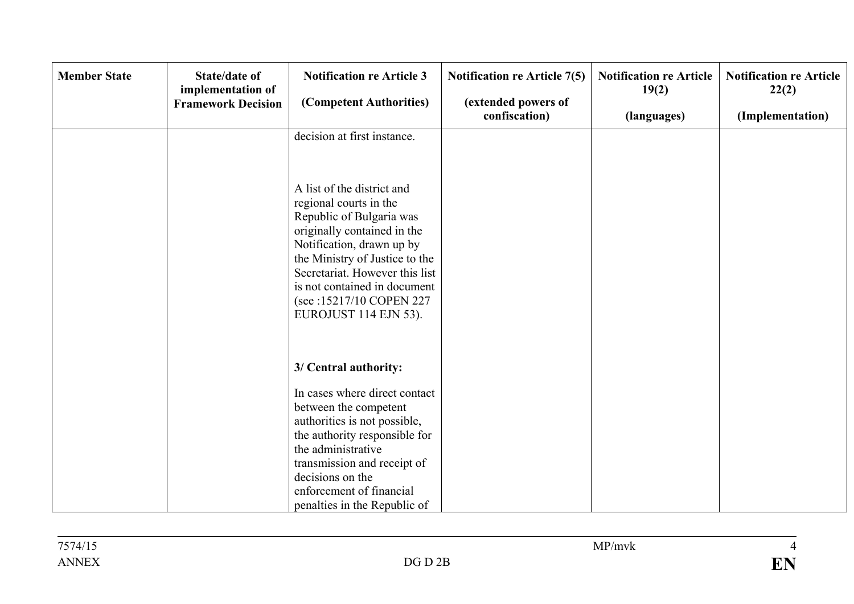| <b>Member State</b> | <b>State/date of</b><br>implementation of<br><b>Framework Decision</b> | <b>Notification re Article 3</b><br>(Competent Authorities)                                                                                                                                                                                                                                           | <b>Notification re Article 7(5)</b><br>(extended powers of<br>confiscation) | <b>Notification re Article</b><br>19(2)<br>(languages) | <b>Notification re Article</b><br>22(2)<br>(Implementation) |
|---------------------|------------------------------------------------------------------------|-------------------------------------------------------------------------------------------------------------------------------------------------------------------------------------------------------------------------------------------------------------------------------------------------------|-----------------------------------------------------------------------------|--------------------------------------------------------|-------------------------------------------------------------|
|                     |                                                                        | decision at first instance.                                                                                                                                                                                                                                                                           |                                                                             |                                                        |                                                             |
|                     |                                                                        | A list of the district and<br>regional courts in the<br>Republic of Bulgaria was<br>originally contained in the<br>Notification, drawn up by<br>the Ministry of Justice to the<br>Secretariat. However this list<br>is not contained in document<br>(see:15217/10 COPEN 227)<br>EUROJUST 114 EJN 53). |                                                                             |                                                        |                                                             |
|                     |                                                                        | 3/ Central authority:                                                                                                                                                                                                                                                                                 |                                                                             |                                                        |                                                             |
|                     |                                                                        | In cases where direct contact                                                                                                                                                                                                                                                                         |                                                                             |                                                        |                                                             |
|                     |                                                                        | between the competent                                                                                                                                                                                                                                                                                 |                                                                             |                                                        |                                                             |
|                     |                                                                        | authorities is not possible,<br>the authority responsible for                                                                                                                                                                                                                                         |                                                                             |                                                        |                                                             |
|                     |                                                                        | the administrative                                                                                                                                                                                                                                                                                    |                                                                             |                                                        |                                                             |
|                     |                                                                        | transmission and receipt of                                                                                                                                                                                                                                                                           |                                                                             |                                                        |                                                             |
|                     |                                                                        | decisions on the                                                                                                                                                                                                                                                                                      |                                                                             |                                                        |                                                             |
|                     |                                                                        | enforcement of financial                                                                                                                                                                                                                                                                              |                                                                             |                                                        |                                                             |
|                     |                                                                        | penalties in the Republic of                                                                                                                                                                                                                                                                          |                                                                             |                                                        |                                                             |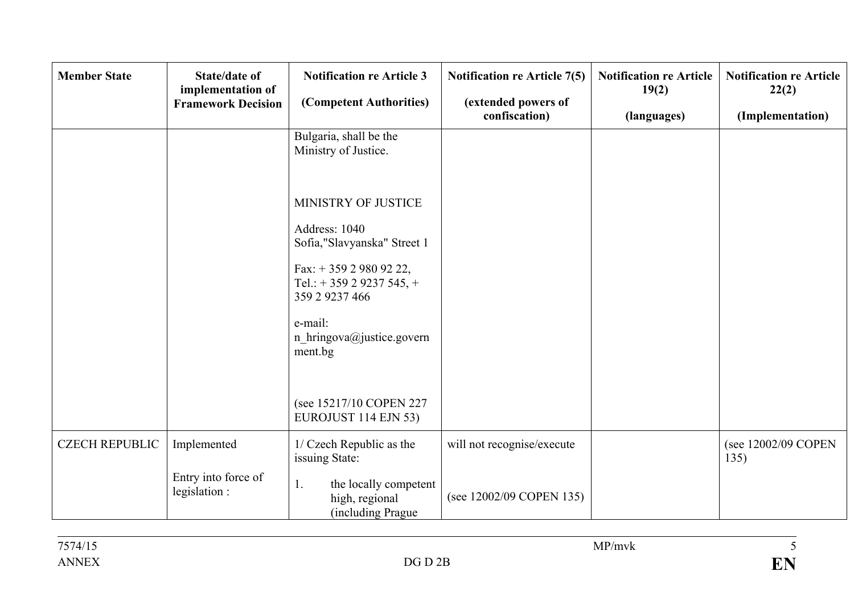| <b>Member State</b>   | <b>State/date of</b><br>implementation of<br><b>Framework Decision</b> | <b>Notification re Article 3</b><br>(Competent Authorities)                                                                                                                                                                                                      | <b>Notification re Article 7(5)</b><br>(extended powers of<br>confiscation) | <b>Notification re Article</b><br>19(2)<br>(languages) | <b>Notification re Article</b><br>22(2)<br>(Implementation) |
|-----------------------|------------------------------------------------------------------------|------------------------------------------------------------------------------------------------------------------------------------------------------------------------------------------------------------------------------------------------------------------|-----------------------------------------------------------------------------|--------------------------------------------------------|-------------------------------------------------------------|
|                       |                                                                        | Bulgaria, shall be the<br>Ministry of Justice.                                                                                                                                                                                                                   |                                                                             |                                                        |                                                             |
|                       |                                                                        | MINISTRY OF JUSTICE<br>Address: 1040<br>Sofia,"Slavyanska" Street 1<br>Fax: $+35929809222$ ,<br>Tel.: $+ 35929237545$ , $+ 12529237545$<br>359 2 9237 466<br>e-mail:<br>n_hringova@justice.govern<br>ment.bg<br>(see 15217/10 COPEN 227)<br>EUROJUST 114 EJN 53) |                                                                             |                                                        |                                                             |
| <b>CZECH REPUBLIC</b> | Implemented                                                            | 1/ Czech Republic as the<br>issuing State:                                                                                                                                                                                                                       | will not recognise/execute                                                  |                                                        | (see 12002/09 COPEN<br>135)                                 |
|                       | Entry into force of<br>legislation :                                   | the locally competent<br>1.<br>high, regional<br>(including Prague                                                                                                                                                                                               | (see 12002/09 COPEN 135)                                                    |                                                        |                                                             |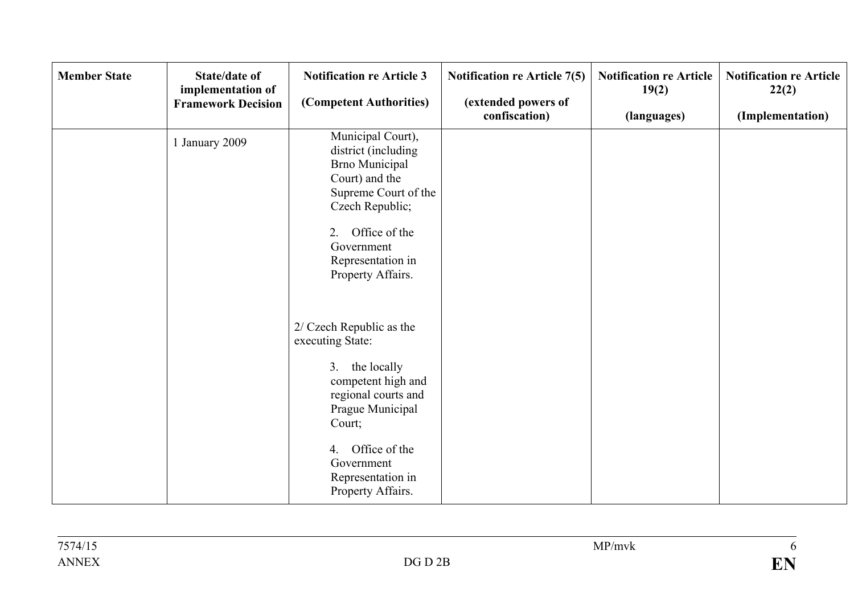| <b>Member State</b> | <b>State/date of</b><br>implementation of<br><b>Framework Decision</b> | <b>Notification re Article 3</b><br>(Competent Authorities)                                                                                                                                                              | <b>Notification re Article 7(5)</b><br>(extended powers of<br>confiscation) | <b>Notification re Article</b><br>19(2)<br>(languages) | <b>Notification re Article</b><br>22(2)<br>(Implementation) |
|---------------------|------------------------------------------------------------------------|--------------------------------------------------------------------------------------------------------------------------------------------------------------------------------------------------------------------------|-----------------------------------------------------------------------------|--------------------------------------------------------|-------------------------------------------------------------|
|                     | 1 January 2009                                                         | Municipal Court),<br>district (including<br><b>Brno Municipal</b><br>Court) and the<br>Supreme Court of the<br>Czech Republic;<br>2. Office of the<br>Government<br>Representation in<br>Property Affairs.               |                                                                             |                                                        |                                                             |
|                     |                                                                        | 2/ Czech Republic as the<br>executing State:<br>3. the locally<br>competent high and<br>regional courts and<br>Prague Municipal<br>Court;<br>Office of the<br>4.<br>Government<br>Representation in<br>Property Affairs. |                                                                             |                                                        |                                                             |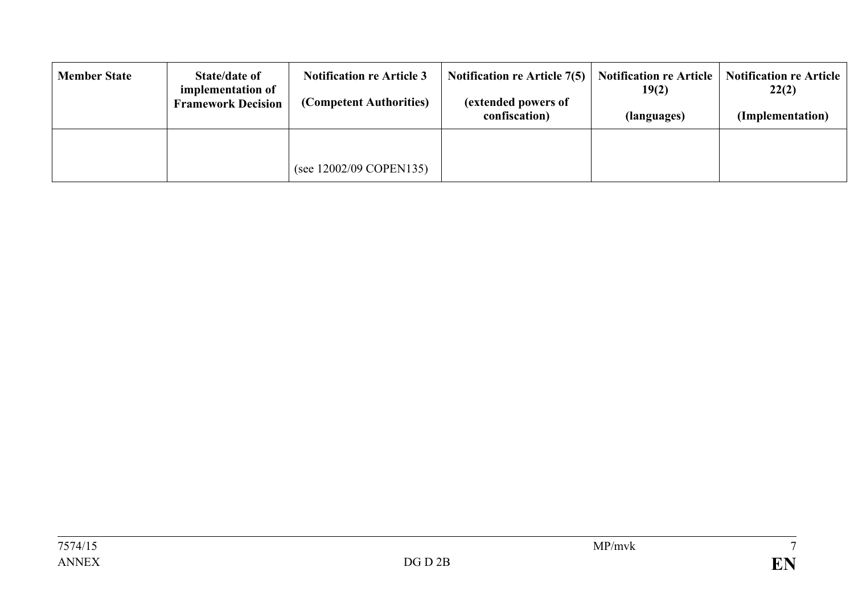| <b>Member State</b> | State/date of<br>implementation of<br><b>Framework Decision</b> | <b>Notification re Article 3</b><br>(Competent Authorities) | <b>Notification re Article 7(5)</b><br>(extended powers of<br>confiscation) | <b>Notification re Article</b><br>19(2)<br>(languages) | <b>Notification re Article</b><br>22(2)<br>(Implementation) |
|---------------------|-----------------------------------------------------------------|-------------------------------------------------------------|-----------------------------------------------------------------------------|--------------------------------------------------------|-------------------------------------------------------------|
|                     |                                                                 | (see 12002/09 COPEN135)                                     |                                                                             |                                                        |                                                             |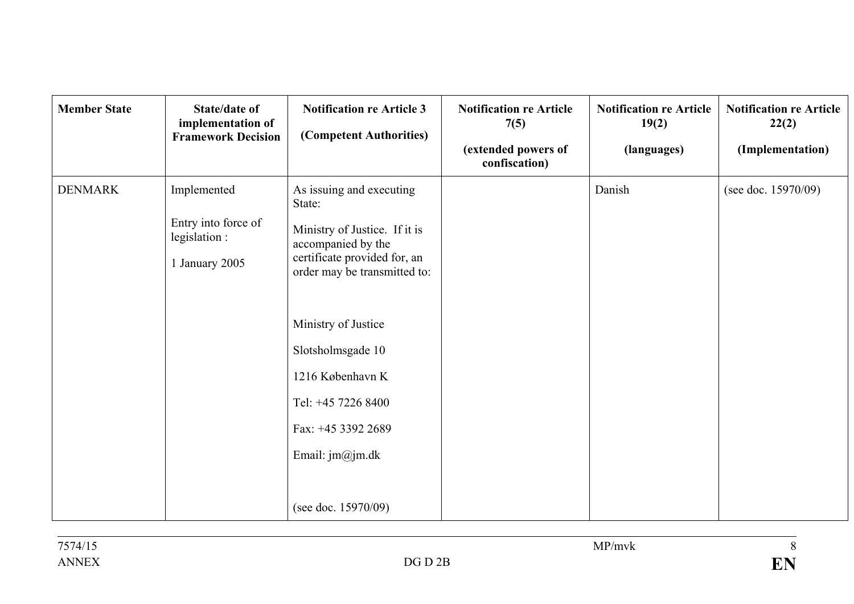| <b>Member State</b> | <b>State/date of</b><br>implementation of<br><b>Framework Decision</b> | <b>Notification re Article 3</b><br>(Competent Authorities)                                                                                                                                                                                                                                                     | <b>Notification re Article</b><br>7(5)<br>(extended powers of<br>confiscation) | <b>Notification re Article</b><br>19(2)<br>(languages) | <b>Notification re Article</b><br>22(2)<br>(Implementation) |
|---------------------|------------------------------------------------------------------------|-----------------------------------------------------------------------------------------------------------------------------------------------------------------------------------------------------------------------------------------------------------------------------------------------------------------|--------------------------------------------------------------------------------|--------------------------------------------------------|-------------------------------------------------------------|
| <b>DENMARK</b>      | Implemented<br>Entry into force of<br>legislation :<br>1 January 2005  | As issuing and executing<br>State:<br>Ministry of Justice. If it is<br>accompanied by the<br>certificate provided for, an<br>order may be transmitted to:<br>Ministry of Justice<br>Slotsholmsgade 10<br>1216 København K<br>Tel: +45 7226 8400<br>Fax: +45 3392 2689<br>Email: jm@jm.dk<br>(see doc. 15970/09) |                                                                                | Danish                                                 | (see doc. 15970/09)                                         |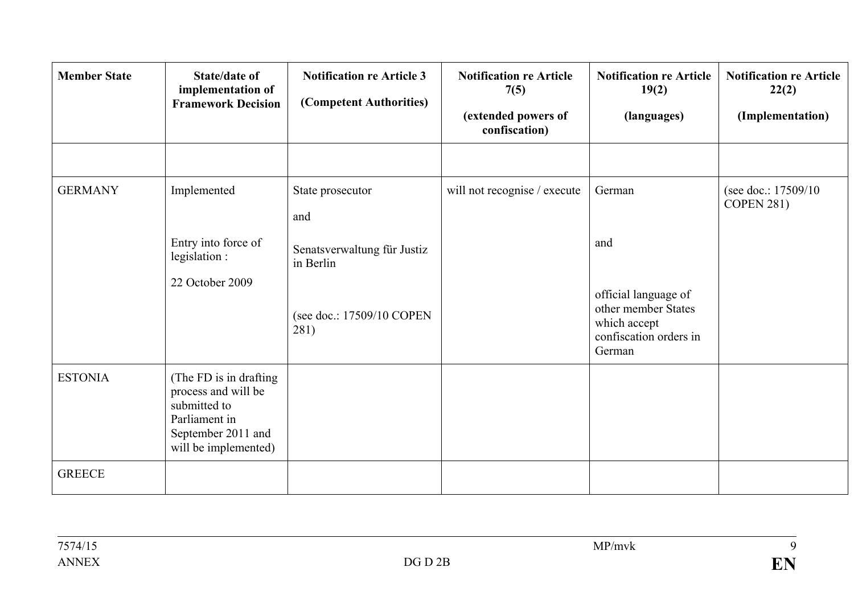| <b>Member State</b> | <b>State/date of</b><br>implementation of<br><b>Framework Decision</b>                                                        | <b>Notification re Article 3</b><br>(Competent Authorities) | <b>Notification re Article</b><br>7(5)<br>(extended powers of<br>confiscation) | <b>Notification re Article</b><br>19(2)<br>(languages)                                          | <b>Notification re Article</b><br>22(2)<br>(Implementation) |
|---------------------|-------------------------------------------------------------------------------------------------------------------------------|-------------------------------------------------------------|--------------------------------------------------------------------------------|-------------------------------------------------------------------------------------------------|-------------------------------------------------------------|
|                     |                                                                                                                               |                                                             |                                                                                |                                                                                                 |                                                             |
| <b>GERMANY</b>      | Implemented                                                                                                                   | State prosecutor<br>and                                     | will not recognise / execute                                                   | German                                                                                          | (see doc.: 17509/10)<br><b>COPEN 281)</b>                   |
|                     | Entry into force of<br>legislation :                                                                                          | Senatsverwaltung für Justiz<br>in Berlin                    |                                                                                | and                                                                                             |                                                             |
|                     | 22 October 2009                                                                                                               | (see doc.: 17509/10 COPEN<br>281)                           |                                                                                | official language of<br>other member States<br>which accept<br>confiscation orders in<br>German |                                                             |
| <b>ESTONIA</b>      | (The FD is in drafting)<br>process and will be<br>submitted to<br>Parliament in<br>September 2011 and<br>will be implemented) |                                                             |                                                                                |                                                                                                 |                                                             |
| <b>GREECE</b>       |                                                                                                                               |                                                             |                                                                                |                                                                                                 |                                                             |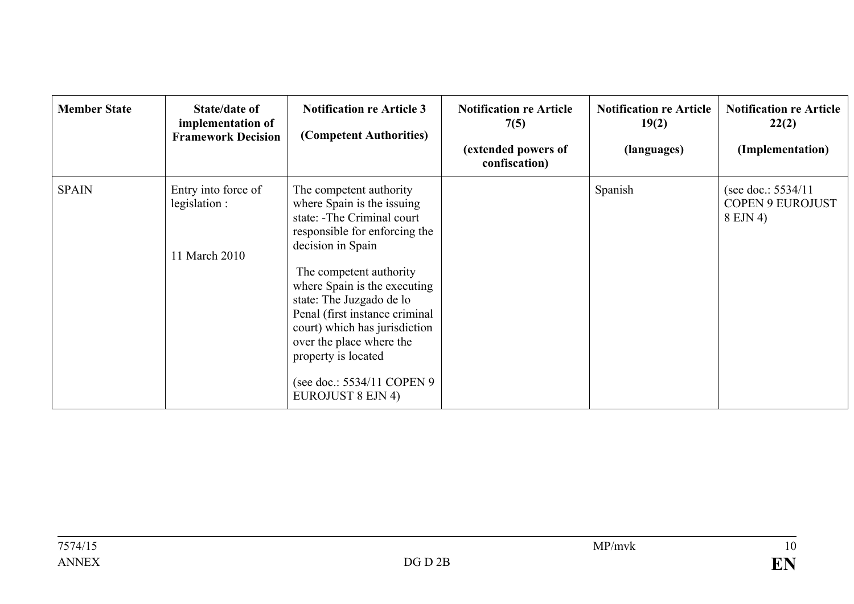| <b>Member State</b> | State/date of<br>implementation of<br><b>Framework Decision</b> | <b>Notification re Article 3</b><br>(Competent Authorities)                                                                                                                                                                        | <b>Notification re Article</b><br>7(5)<br>(extended powers of<br>confiscation) | <b>Notification re Article</b><br>19(2)<br>(languages) | <b>Notification re Article</b><br>22(2)<br>(Implementation) |
|---------------------|-----------------------------------------------------------------|------------------------------------------------------------------------------------------------------------------------------------------------------------------------------------------------------------------------------------|--------------------------------------------------------------------------------|--------------------------------------------------------|-------------------------------------------------------------|
| <b>SPAIN</b>        | Entry into force of<br>legislation :<br>11 March 2010           | The competent authority<br>where Spain is the issuing<br>state: -The Criminal court<br>responsible for enforcing the<br>decision in Spain<br>The competent authority                                                               |                                                                                | Spanish                                                | (see doc.: $5534/11$<br><b>COPEN 9 EUROJUST</b><br>8 EJN 4) |
|                     |                                                                 | where Spain is the executing<br>state: The Juzgado de lo<br>Penal (first instance criminal<br>court) which has jurisdiction<br>over the place where the<br>property is located<br>(see doc.: 5534/11 COPEN 9)<br>EUROJUST 8 EJN 4) |                                                                                |                                                        |                                                             |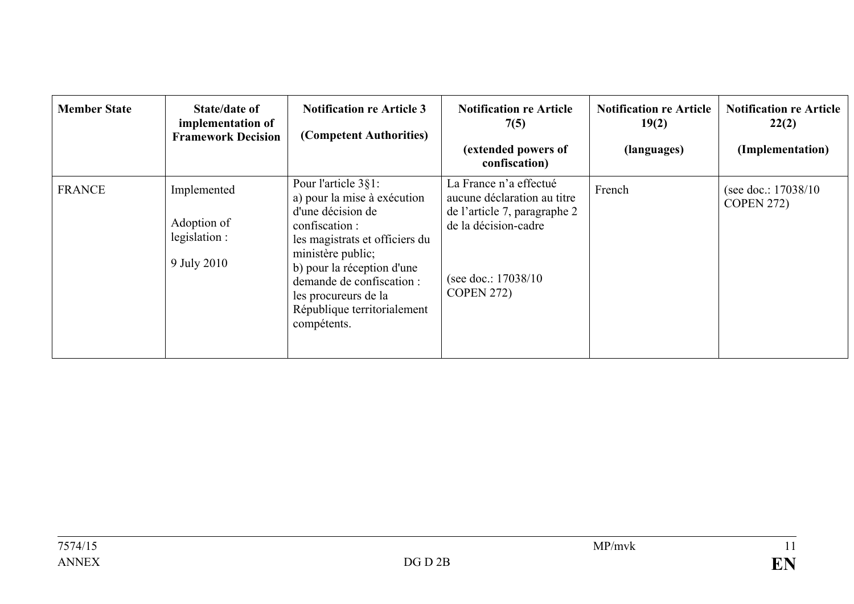| <b>Member State</b> | State/date of<br>implementation of<br><b>Framework Decision</b> | <b>Notification re Article 3</b><br>(Competent Authorities)                                                                                                                                                                                                                       | <b>Notification re Article</b><br>7(5)<br>(extended powers of<br>confiscation)                                                                             | <b>Notification re Article</b><br>19(2)<br>(languages) | <b>Notification re Article</b><br>22(2)<br>(Implementation) |
|---------------------|-----------------------------------------------------------------|-----------------------------------------------------------------------------------------------------------------------------------------------------------------------------------------------------------------------------------------------------------------------------------|------------------------------------------------------------------------------------------------------------------------------------------------------------|--------------------------------------------------------|-------------------------------------------------------------|
| <b>FRANCE</b>       | Implemented<br>Adoption of<br>legislation :<br>9 July 2010      | Pour l'article 3§1:<br>a) pour la mise à exécution<br>d'une décision de<br>confiscation :<br>les magistrats et officiers du<br>ministère public;<br>b) pour la réception d'une<br>demande de confiscation :<br>les procureurs de la<br>République territorialement<br>compétents. | La France n'a effectué<br>aucune déclaration au titre<br>de l'article 7, paragraphe 2<br>de la décision-cadre<br>(see doc.: 17038/10)<br><b>COPEN 272)</b> | French                                                 | (see doc.: $17038/10$ )<br><b>COPEN 272)</b>                |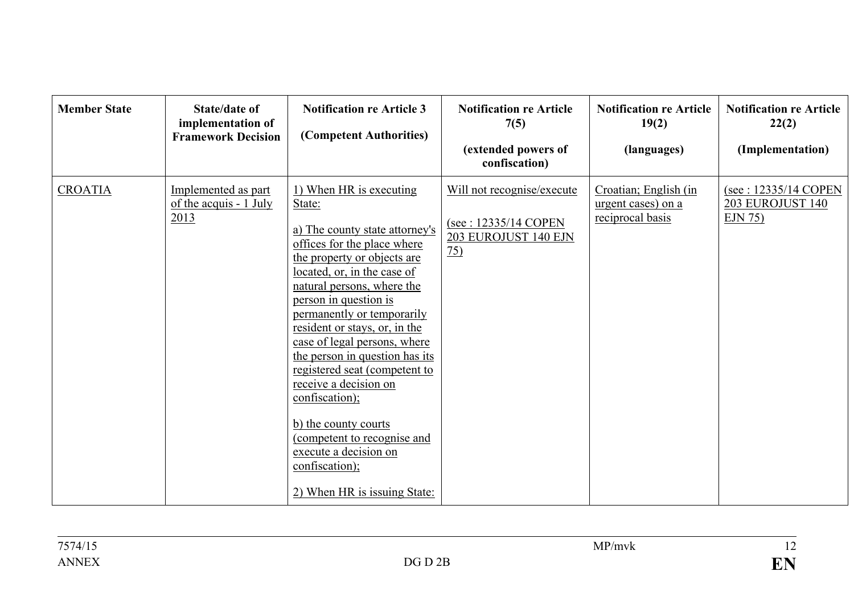| <b>Member State</b> | State/date of<br>implementation of<br><b>Framework Decision</b> | <b>Notification re Article 3</b><br>(Competent Authorities)                                                                                                                                                                                                                                                                                                                                                                                                                                                                                                            | <b>Notification re Article</b><br>7(5)<br>(extended powers of<br>confiscation)               | <b>Notification re Article</b><br>19(2)<br>(languages)          | <b>Notification re Article</b><br>22(2)<br>(Implementation) |
|---------------------|-----------------------------------------------------------------|------------------------------------------------------------------------------------------------------------------------------------------------------------------------------------------------------------------------------------------------------------------------------------------------------------------------------------------------------------------------------------------------------------------------------------------------------------------------------------------------------------------------------------------------------------------------|----------------------------------------------------------------------------------------------|-----------------------------------------------------------------|-------------------------------------------------------------|
| <b>CROATIA</b>      | Implemented as part<br>of the acquis $-1$ July<br>2013          | 1) When HR is executing<br>State:<br>a) The county state attorney's<br>offices for the place where<br>the property or objects are<br>located, or, in the case of<br>natural persons, where the<br>person in question is<br>permanently or temporarily<br>resident or stays, or, in the<br>case of legal persons, where<br>the person in question has its<br>registered seat (competent to<br>receive a decision on<br>confiscation);<br>b) the county courts<br>(competent to recognise and<br>execute a decision on<br>confiscation);<br>2) When HR is issuing State: | Will not recognise/execute<br>(see: 12335/14 COPEN<br>203 EUROJUST 140 EJN<br>$\frac{75}{2}$ | Croatian; English (in<br>urgent cases) on a<br>reciprocal basis | (see: 12335/14 COPEN<br><b>203 EUROJUST 140</b><br>EJN 75   |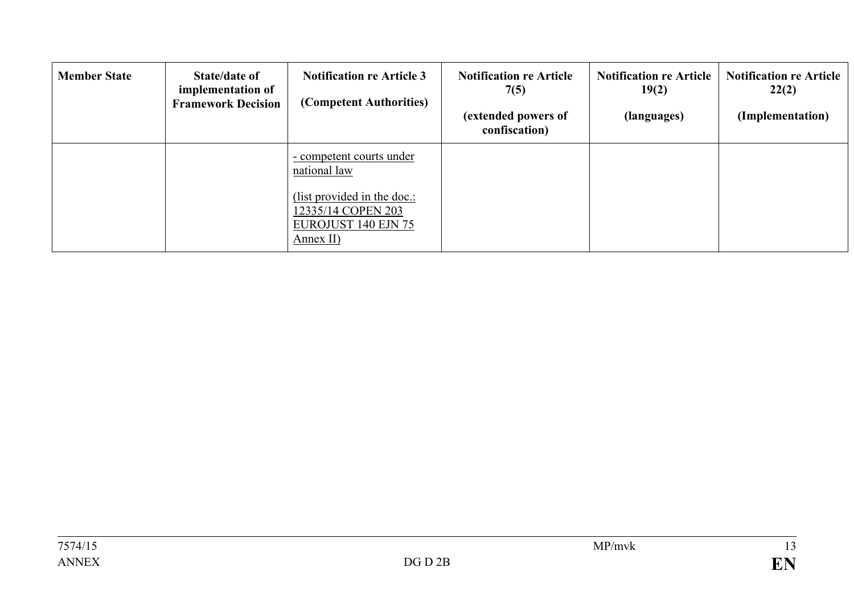| <b>Member State</b> | State/date of<br>implementation of<br><b>Framework Decision</b> | <b>Notification re Article 3</b><br>(Competent Authorities)                           | <b>Notification re Article</b><br>7(5)<br>(extended powers of<br>confiscation) | <b>Notification re Article</b><br>19(2)<br>(languages) | <b>Notification re Article</b><br>22(2)<br>(Implementation) |
|---------------------|-----------------------------------------------------------------|---------------------------------------------------------------------------------------|--------------------------------------------------------------------------------|--------------------------------------------------------|-------------------------------------------------------------|
|                     |                                                                 | - competent courts under<br>national law                                              |                                                                                |                                                        |                                                             |
|                     |                                                                 | (list provided in the doc.:<br>12335/14 COPEN 203<br>EUROJUST 140 EJN 75<br>Annex II) |                                                                                |                                                        |                                                             |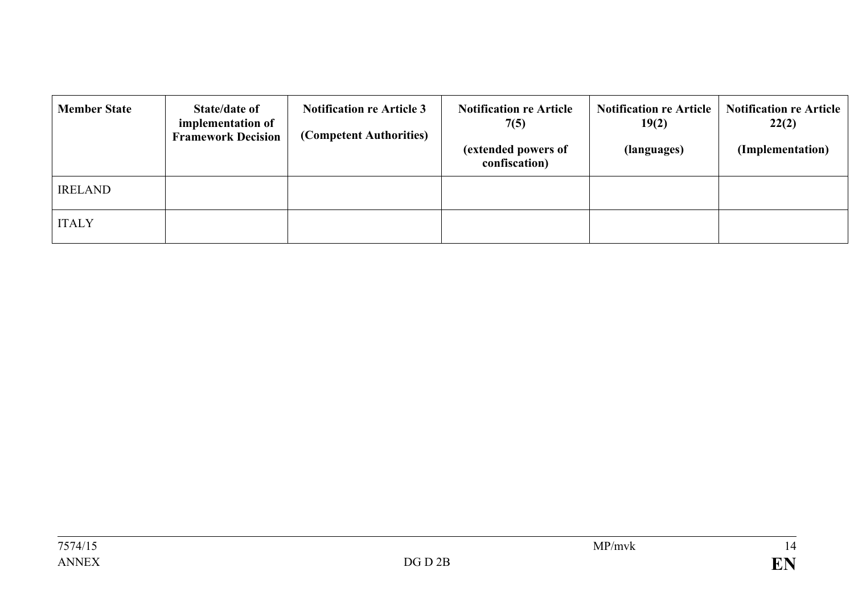| <b>Member State</b> | <b>State/date of</b><br>implementation of<br><b>Framework Decision</b> | <b>Notification re Article 3</b><br>(Competent Authorities) | <b>Notification re Article</b><br>7(5)<br>(extended powers of<br>confiscation) | <b>Notification re Article</b><br>19(2)<br>(languages) | <b>Notification re Article</b><br>22(2)<br>(Implementation) |
|---------------------|------------------------------------------------------------------------|-------------------------------------------------------------|--------------------------------------------------------------------------------|--------------------------------------------------------|-------------------------------------------------------------|
| <b>IRELAND</b>      |                                                                        |                                                             |                                                                                |                                                        |                                                             |
| <b>ITALY</b>        |                                                                        |                                                             |                                                                                |                                                        |                                                             |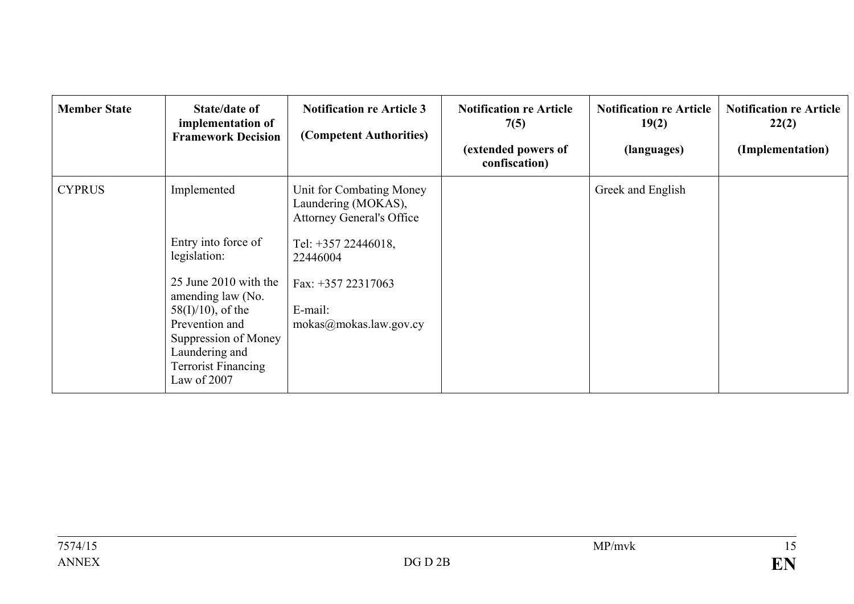| <b>Member State</b> | State/date of<br>implementation of<br><b>Framework Decision</b>                                                                                                                                                                  | <b>Notification re Article 3</b><br>(Competent Authorities)                                                                                                                       | <b>Notification re Article</b><br>7(5)<br>(extended powers of<br>confiscation) | <b>Notification re Article</b><br>19(2)<br>(languages) | <b>Notification re Article</b><br>22(2)<br>(Implementation) |
|---------------------|----------------------------------------------------------------------------------------------------------------------------------------------------------------------------------------------------------------------------------|-----------------------------------------------------------------------------------------------------------------------------------------------------------------------------------|--------------------------------------------------------------------------------|--------------------------------------------------------|-------------------------------------------------------------|
| <b>CYPRUS</b>       | Implemented<br>Entry into force of<br>legislation:<br>25 June 2010 with the<br>amending law (No.<br>$58(I)/10$ , of the<br>Prevention and<br>Suppression of Money<br>Laundering and<br><b>Terrorist Financing</b><br>Law of 2007 | Unit for Combating Money<br>Laundering (MOKAS),<br><b>Attorney General's Office</b><br>Tel: +357 22446018,<br>22446004<br>Fax: +357 22317063<br>E-mail:<br>mokas@mokas.law.gov.cy |                                                                                | Greek and English                                      |                                                             |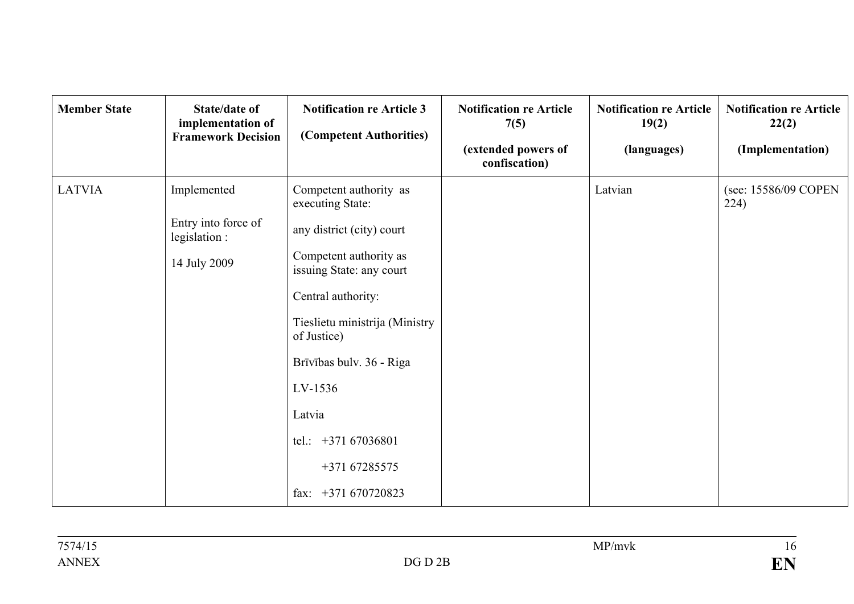| <b>Member State</b> | State/date of<br>implementation of<br><b>Framework Decision</b>     | <b>Notification re Article 3</b><br>(Competent Authorities)                                                                                                                                                                                                                                    | <b>Notification re Article</b><br>7(5)<br>(extended powers of<br>confiscation) | <b>Notification re Article</b><br>19(2)<br>(languages) | <b>Notification re Article</b><br>22(2)<br>(Implementation) |
|---------------------|---------------------------------------------------------------------|------------------------------------------------------------------------------------------------------------------------------------------------------------------------------------------------------------------------------------------------------------------------------------------------|--------------------------------------------------------------------------------|--------------------------------------------------------|-------------------------------------------------------------|
| <b>LATVIA</b>       | Implemented<br>Entry into force of<br>legislation :<br>14 July 2009 | Competent authority as<br>executing State:<br>any district (city) court<br>Competent authority as<br>issuing State: any court<br>Central authority:<br>Tieslietu ministrija (Ministry<br>of Justice)<br>Brīvības bulv. 36 - Riga<br>LV-1536<br>Latvia<br>tel.: $+37167036801$<br>+371 67285575 |                                                                                | Latvian                                                | (see: 15586/09 COPEN<br>224)                                |
|                     |                                                                     | fax: $+371670720823$                                                                                                                                                                                                                                                                           |                                                                                |                                                        |                                                             |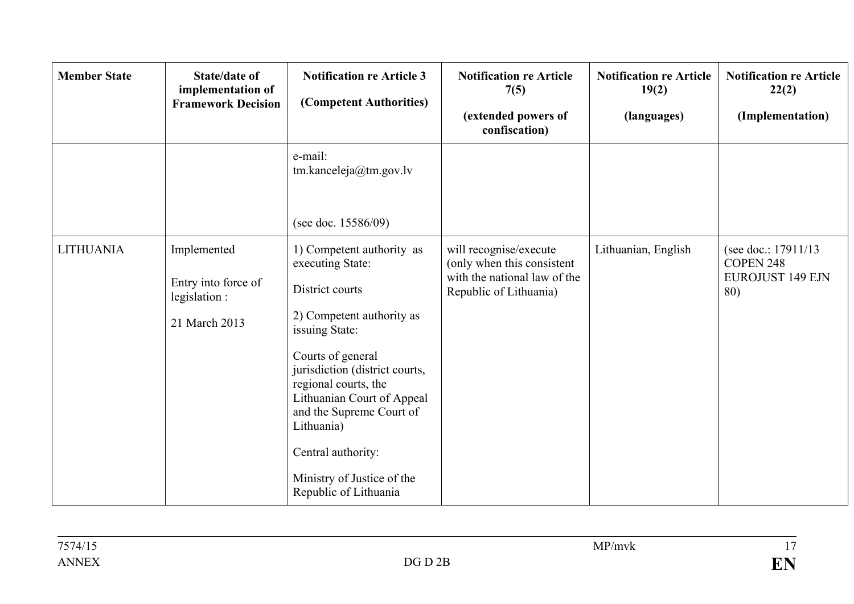| <b>Member State</b> | <b>State/date of</b><br>implementation of<br><b>Framework Decision</b> | <b>Notification re Article 3</b><br>(Competent Authorities)                                                                                                                                                                                                                                                                                         | <b>Notification re Article</b><br>7(5)<br>(extended powers of<br>confiscation)                                 | <b>Notification re Article</b><br>19(2)<br>(languages) | <b>Notification re Article</b><br>22(2)<br>(Implementation)         |
|---------------------|------------------------------------------------------------------------|-----------------------------------------------------------------------------------------------------------------------------------------------------------------------------------------------------------------------------------------------------------------------------------------------------------------------------------------------------|----------------------------------------------------------------------------------------------------------------|--------------------------------------------------------|---------------------------------------------------------------------|
|                     |                                                                        | e-mail:<br>tm.kanceleja@tm.gov.lv<br>(see doc. $15586/09$ )                                                                                                                                                                                                                                                                                         |                                                                                                                |                                                        |                                                                     |
| <b>LITHUANIA</b>    | Implemented<br>Entry into force of<br>legislation:<br>21 March 2013    | 1) Competent authority as<br>executing State:<br>District courts<br>2) Competent authority as<br>issuing State:<br>Courts of general<br>jurisdiction (district courts,<br>regional courts, the<br>Lithuanian Court of Appeal<br>and the Supreme Court of<br>Lithuania)<br>Central authority:<br>Ministry of Justice of the<br>Republic of Lithuania | will recognise/execute<br>(only when this consistent<br>with the national law of the<br>Republic of Lithuania) | Lithuanian, English                                    | (see doc.: 17911/13)<br>COPEN 248<br><b>EUROJUST 149 EJN</b><br>80) |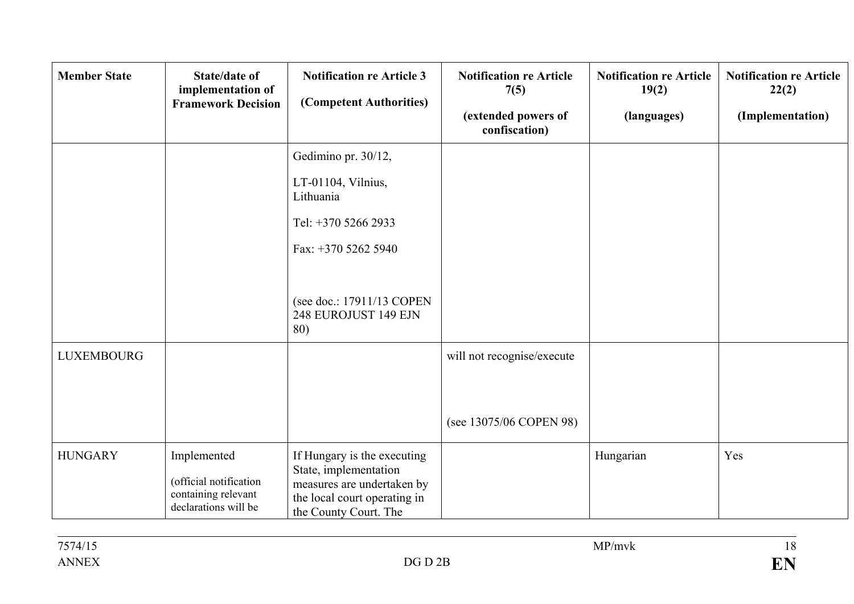| <b>Member State</b> | <b>State/date of</b><br>implementation of<br><b>Framework Decision</b>               | <b>Notification re Article 3</b><br>(Competent Authorities)                                                                                               | <b>Notification re Article</b><br>7(5)<br>(extended powers of<br>confiscation) | <b>Notification re Article</b><br>19(2)<br>(languages) | <b>Notification re Article</b><br>22(2)<br>(Implementation) |
|---------------------|--------------------------------------------------------------------------------------|-----------------------------------------------------------------------------------------------------------------------------------------------------------|--------------------------------------------------------------------------------|--------------------------------------------------------|-------------------------------------------------------------|
|                     |                                                                                      | Gedimino pr. 30/12,<br>LT-01104, Vilnius,<br>Lithuania<br>Tel: +370 5266 2933<br>Fax: +370 5262 5940<br>(see doc.: 17911/13 COPEN<br>248 EUROJUST 149 EJN |                                                                                |                                                        |                                                             |
| <b>LUXEMBOURG</b>   |                                                                                      | 80)                                                                                                                                                       | will not recognise/execute                                                     |                                                        |                                                             |
|                     |                                                                                      |                                                                                                                                                           | (see 13075/06 COPEN 98)                                                        |                                                        |                                                             |
| <b>HUNGARY</b>      | Implemented<br>(official notification<br>containing relevant<br>declarations will be | If Hungary is the executing<br>State, implementation<br>measures are undertaken by<br>the local court operating in<br>the County Court. The               |                                                                                | Hungarian                                              | Yes                                                         |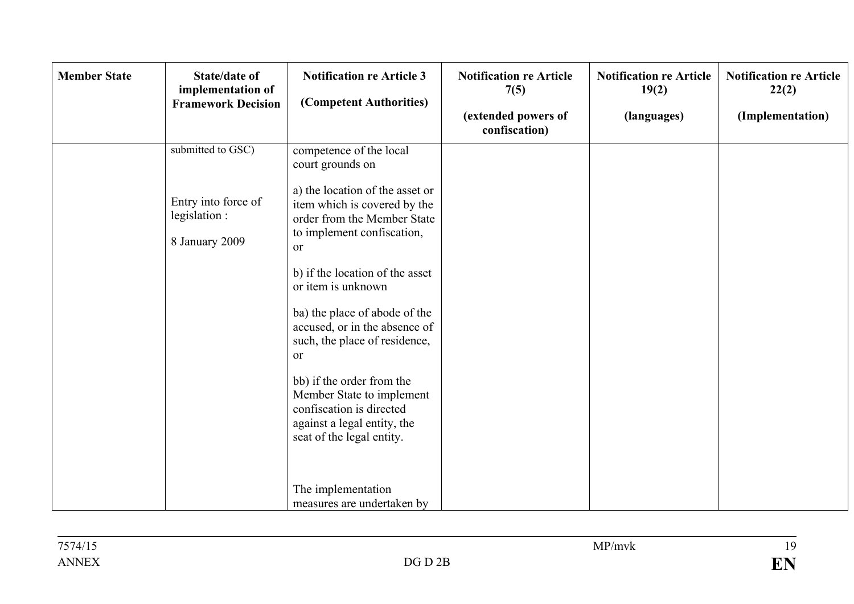| submitted to GSC)<br>competence of the local<br>court grounds on<br>a) the location of the asset or<br>Entry into force of<br>item which is covered by the<br>legislation :<br>order from the Member State<br>to implement confiscation,<br>8 January 2009<br><sub>or</sub><br>b) if the location of the asset<br>or item is unknown<br>ba) the place of abode of the<br>accused, or in the absence of<br>such, the place of residence,<br><sub>or</sub><br>bb) if the order from the<br>Member State to implement<br>confiscation is directed<br>against a legal entity, the<br>seat of the legal entity. | <b>Member State</b> | <b>State/date of</b><br>implementation of<br><b>Framework Decision</b> | <b>Notification re Article 3</b><br>(Competent Authorities) | <b>Notification re Article</b><br>7(5)<br>(extended powers of<br>confiscation) | <b>Notification re Article</b><br>19(2)<br>(languages) | <b>Notification re Article</b><br>22(2)<br>(Implementation) |
|------------------------------------------------------------------------------------------------------------------------------------------------------------------------------------------------------------------------------------------------------------------------------------------------------------------------------------------------------------------------------------------------------------------------------------------------------------------------------------------------------------------------------------------------------------------------------------------------------------|---------------------|------------------------------------------------------------------------|-------------------------------------------------------------|--------------------------------------------------------------------------------|--------------------------------------------------------|-------------------------------------------------------------|
| measures are undertaken by                                                                                                                                                                                                                                                                                                                                                                                                                                                                                                                                                                                 |                     |                                                                        | The implementation                                          |                                                                                |                                                        |                                                             |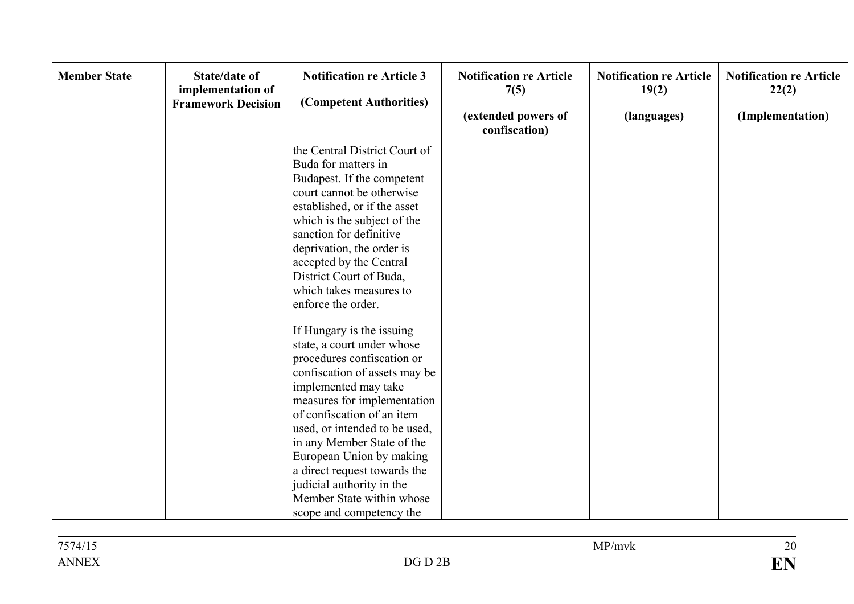| <b>Member State</b><br><b>State/date of</b><br>implementation of<br><b>Framework Decision</b> | <b>Notification re Article 3</b><br>(Competent Authorities)                                                                                                                                                                                                                                                                                                                                                                                                                                                                                                                                                                                                                                                                                                                   | <b>Notification re Article</b><br>7(5)<br>(extended powers of<br>confiscation) | <b>Notification re Article</b><br>19(2)<br>(languages) | <b>Notification re Article</b><br>22(2)<br>(Implementation) |
|-----------------------------------------------------------------------------------------------|-------------------------------------------------------------------------------------------------------------------------------------------------------------------------------------------------------------------------------------------------------------------------------------------------------------------------------------------------------------------------------------------------------------------------------------------------------------------------------------------------------------------------------------------------------------------------------------------------------------------------------------------------------------------------------------------------------------------------------------------------------------------------------|--------------------------------------------------------------------------------|--------------------------------------------------------|-------------------------------------------------------------|
|                                                                                               | the Central District Court of<br>Buda for matters in<br>Budapest. If the competent<br>court cannot be otherwise<br>established, or if the asset<br>which is the subject of the<br>sanction for definitive<br>deprivation, the order is<br>accepted by the Central<br>District Court of Buda,<br>which takes measures to<br>enforce the order.<br>If Hungary is the issuing<br>state, a court under whose<br>procedures confiscation or<br>confiscation of assets may be<br>implemented may take<br>measures for implementation<br>of confiscation of an item<br>used, or intended to be used,<br>in any Member State of the<br>European Union by making<br>a direct request towards the<br>judicial authority in the<br>Member State within whose<br>scope and competency the |                                                                                |                                                        |                                                             |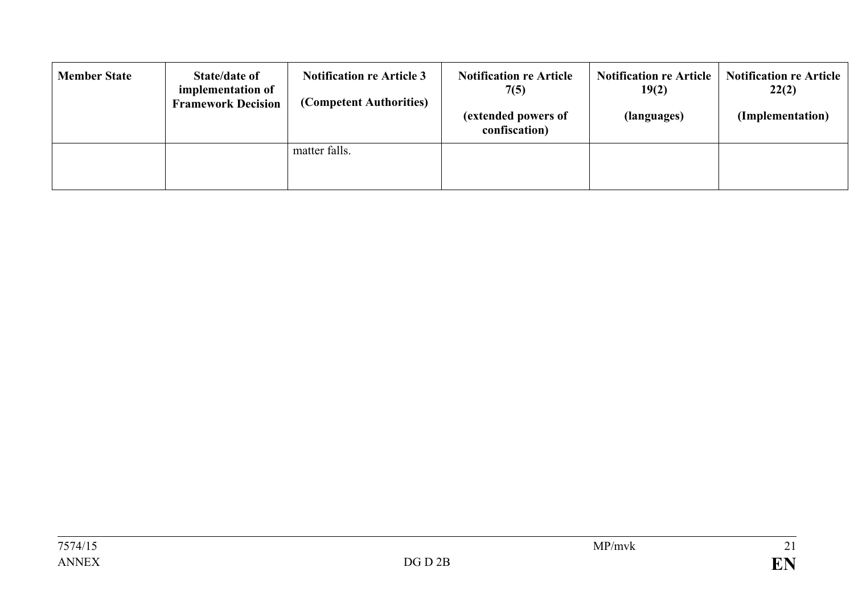| <b>Member State</b> | <b>State/date of</b><br>implementation of<br><b>Framework Decision</b> | <b>Notification re Article 3</b><br>(Competent Authorities) | <b>Notification re Article</b><br>7(5)<br>(extended powers of<br>confiscation) | <b>Notification re Article</b><br>19(2)<br>(languages) | <b>Notification re Article</b><br>22(2)<br>(Implementation) |
|---------------------|------------------------------------------------------------------------|-------------------------------------------------------------|--------------------------------------------------------------------------------|--------------------------------------------------------|-------------------------------------------------------------|
|                     |                                                                        | matter falls.                                               |                                                                                |                                                        |                                                             |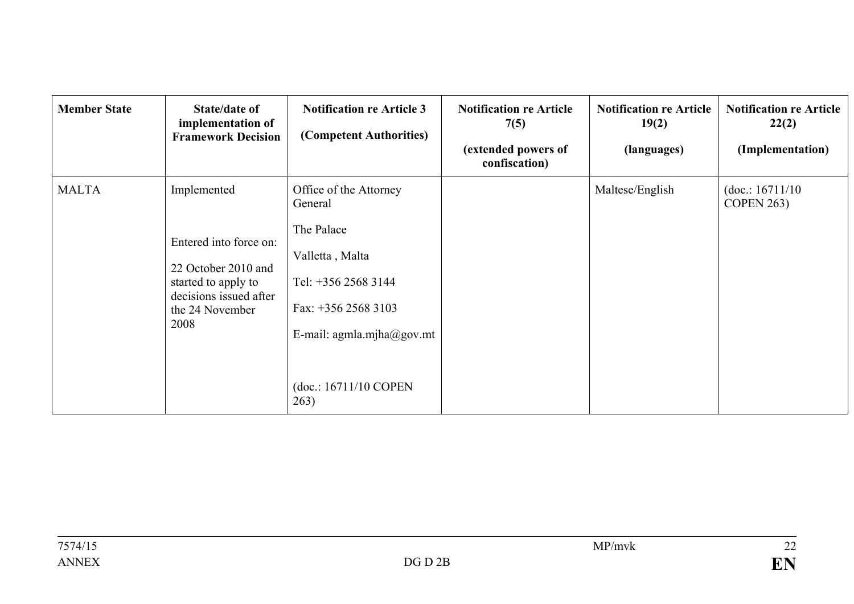| <b>Member State</b> | State/date of<br>implementation of<br><b>Framework Decision</b>                                                                          | <b>Notification re Article 3</b><br>(Competent Authorities)                                                                                                                      | <b>Notification re Article</b><br>7(5)<br>(extended powers of<br>confiscation) | <b>Notification re Article</b><br>19(2)<br>(languages) | <b>Notification re Article</b><br>22(2)<br>(Implementation) |
|---------------------|------------------------------------------------------------------------------------------------------------------------------------------|----------------------------------------------------------------------------------------------------------------------------------------------------------------------------------|--------------------------------------------------------------------------------|--------------------------------------------------------|-------------------------------------------------------------|
| <b>MALTA</b>        | Implemented<br>Entered into force on:<br>22 October 2010 and<br>started to apply to<br>decisions issued after<br>the 24 November<br>2008 | Office of the Attorney<br>General<br>The Palace<br>Valletta, Malta<br>Tel: +356 2568 3144<br>Fax: $+356$ 2568 3103<br>E-mail: agmla.mjha@gov.mt<br>(doc.: 16711/10 COPEN<br>263) |                                                                                | Maltese/English                                        | (doc.: 16711/10)<br><b>COPEN 263)</b>                       |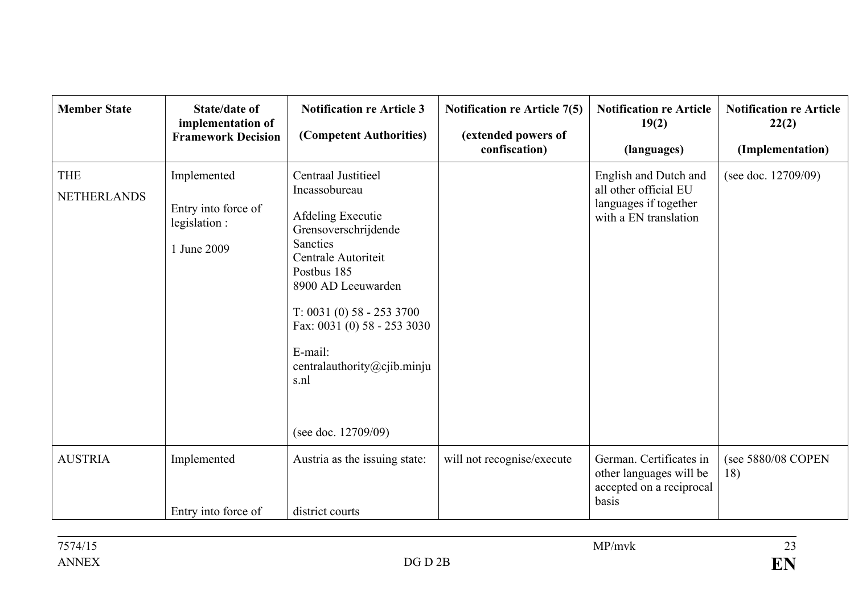| <b>Member State</b>              | <b>State/date of</b><br>implementation of<br><b>Framework Decision</b> | <b>Notification re Article 3</b><br>(Competent Authorities)                                                                                                                                                                                                                                    | <b>Notification re Article 7(5)</b><br>(extended powers of<br>confiscation) | <b>Notification re Article</b><br>19(2)<br>(languages)                                           | <b>Notification re Article</b><br>22(2)<br>(Implementation) |
|----------------------------------|------------------------------------------------------------------------|------------------------------------------------------------------------------------------------------------------------------------------------------------------------------------------------------------------------------------------------------------------------------------------------|-----------------------------------------------------------------------------|--------------------------------------------------------------------------------------------------|-------------------------------------------------------------|
| <b>THE</b><br><b>NETHERLANDS</b> | Implemented<br>Entry into force of<br>legislation:<br>1 June 2009      | Centraal Justitieel<br>Incassobureau<br>Afdeling Executie<br>Grensoverschrijdende<br>Sancties<br>Centrale Autoriteit<br>Postbus 185<br>8900 AD Leeuwarden<br>$T: 0031(0) 58 - 2533700$<br>Fax: 0031 (0) 58 - 253 3030<br>E-mail:<br>centralauthority@cjib.minju<br>s.nl<br>(see doc. 12709/09) |                                                                             | English and Dutch and<br>all other official EU<br>languages if together<br>with a EN translation | (see doc. 12709/09)                                         |
| <b>AUSTRIA</b>                   | Implemented<br>Entry into force of                                     | Austria as the issuing state:<br>district courts                                                                                                                                                                                                                                               | will not recognise/execute                                                  | German. Certificates in<br>other languages will be<br>accepted on a reciprocal<br>basis          | (see 5880/08 COPEN<br>18)                                   |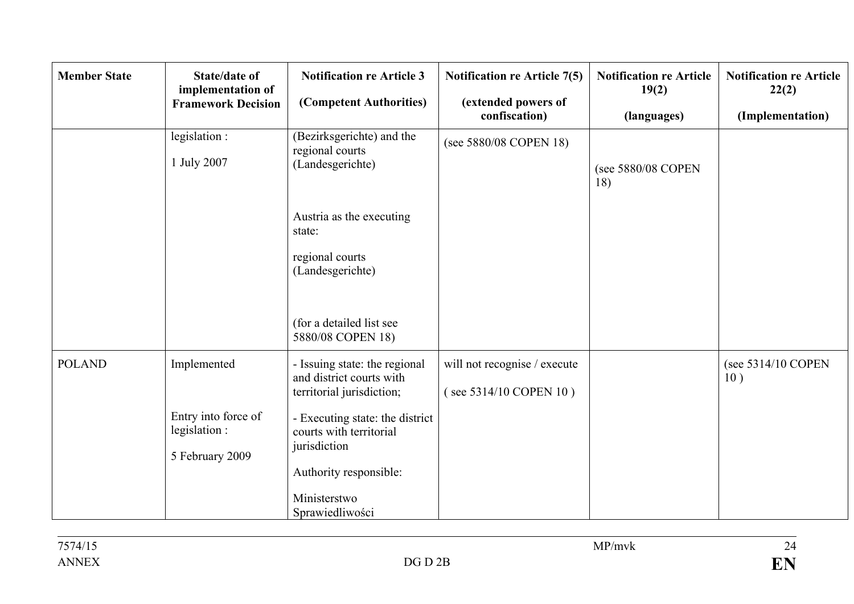| <b>Member State</b> | <b>State/date of</b><br>implementation of<br><b>Framework Decision</b> | <b>Notification re Article 3</b><br>(Competent Authorities)                                                          | <b>Notification re Article 7(5)</b><br>(extended powers of<br>confiscation) | <b>Notification re Article</b><br>19(2)<br>(languages) | <b>Notification re Article</b><br>22(2)<br>(Implementation) |
|---------------------|------------------------------------------------------------------------|----------------------------------------------------------------------------------------------------------------------|-----------------------------------------------------------------------------|--------------------------------------------------------|-------------------------------------------------------------|
|                     | legislation:<br>1 July 2007                                            | (Bezirksgerichte) and the<br>regional courts<br>(Landesgerichte)                                                     | (see 5880/08 COPEN 18)                                                      | (see 5880/08 COPEN<br>18)                              |                                                             |
|                     |                                                                        | Austria as the executing<br>state:<br>regional courts<br>(Landesgerichte)<br>(for a detailed list see                |                                                                             |                                                        |                                                             |
|                     |                                                                        | 5880/08 COPEN 18)                                                                                                    |                                                                             |                                                        |                                                             |
| <b>POLAND</b>       | Implemented                                                            | - Issuing state: the regional<br>and district courts with<br>territorial jurisdiction;                               | will not recognise / execute<br>(see 5314/10 COPEN 10)                      |                                                        | (see 5314/10 COPEN<br>10)                                   |
|                     | Entry into force of<br>legislation:<br>5 February 2009                 | - Executing state: the district<br>courts with territorial<br>jurisdiction<br>Authority responsible:<br>Ministerstwo |                                                                             |                                                        |                                                             |
|                     |                                                                        | Sprawiedliwości                                                                                                      |                                                                             |                                                        |                                                             |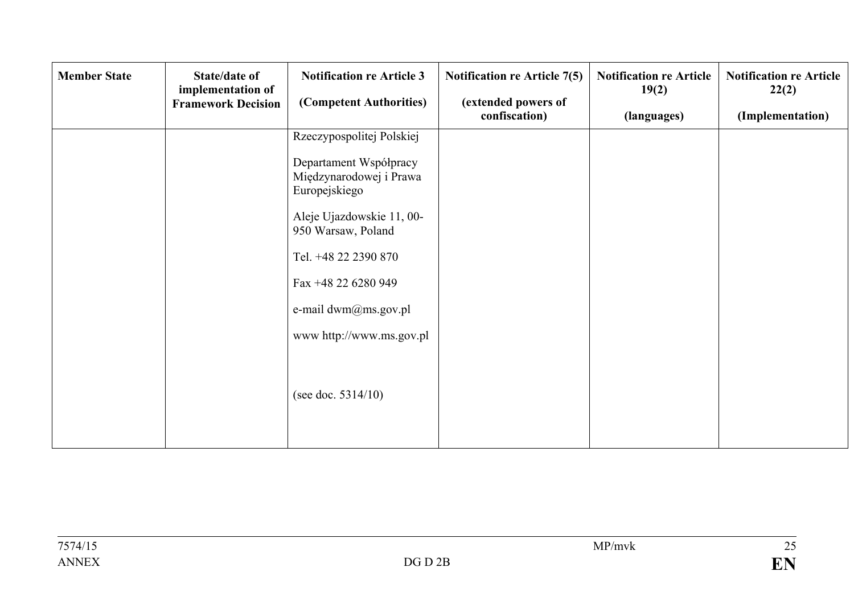| <b>Member State</b> | <b>State/date of</b><br>implementation of<br><b>Framework Decision</b> | <b>Notification re Article 3</b><br>(Competent Authorities)        | <b>Notification re Article 7(5)</b><br>(extended powers of<br>confiscation) | <b>Notification re Article</b><br>19(2)<br>(languages) | <b>Notification re Article</b><br>22(2)<br>(Implementation) |
|---------------------|------------------------------------------------------------------------|--------------------------------------------------------------------|-----------------------------------------------------------------------------|--------------------------------------------------------|-------------------------------------------------------------|
|                     |                                                                        | Rzeczypospolitej Polskiej                                          |                                                                             |                                                        |                                                             |
|                     |                                                                        | Departament Współpracy<br>Międzynarodowej i Prawa<br>Europejskiego |                                                                             |                                                        |                                                             |
|                     |                                                                        | Aleje Ujazdowskie 11, 00-<br>950 Warsaw, Poland                    |                                                                             |                                                        |                                                             |
|                     |                                                                        | Tel. +48 22 2390 870                                               |                                                                             |                                                        |                                                             |
|                     |                                                                        | Fax +48 22 6280 949                                                |                                                                             |                                                        |                                                             |
|                     |                                                                        | e-mail dwm@ms.gov.pl                                               |                                                                             |                                                        |                                                             |
|                     |                                                                        | www.http://www.ms.gov.pl                                           |                                                                             |                                                        |                                                             |
|                     |                                                                        | (see doc. $5314/10$ )                                              |                                                                             |                                                        |                                                             |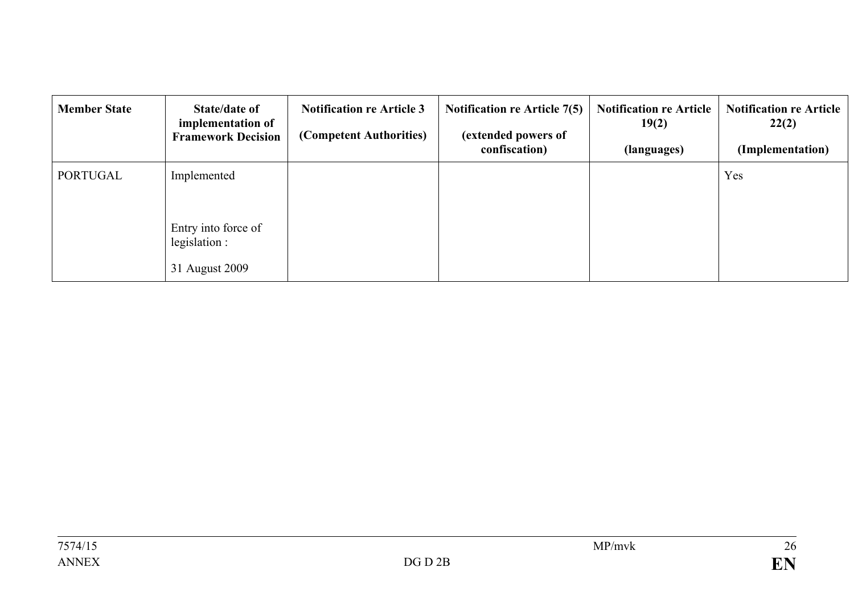| <b>Member State</b> | State/date of<br>implementation of<br><b>Framework Decision</b> | <b>Notification re Article 3</b><br>(Competent Authorities) | <b>Notification re Article 7(5)</b><br>(extended powers of<br>confiscation) | <b>Notification re Article</b><br>19(2)<br>(languages) | <b>Notification re Article</b><br>22(2)<br>(Implementation) |
|---------------------|-----------------------------------------------------------------|-------------------------------------------------------------|-----------------------------------------------------------------------------|--------------------------------------------------------|-------------------------------------------------------------|
| PORTUGAL            | Implemented                                                     |                                                             |                                                                             |                                                        | Yes                                                         |
|                     | Entry into force of<br>legislation :                            |                                                             |                                                                             |                                                        |                                                             |
|                     | 31 August 2009                                                  |                                                             |                                                                             |                                                        |                                                             |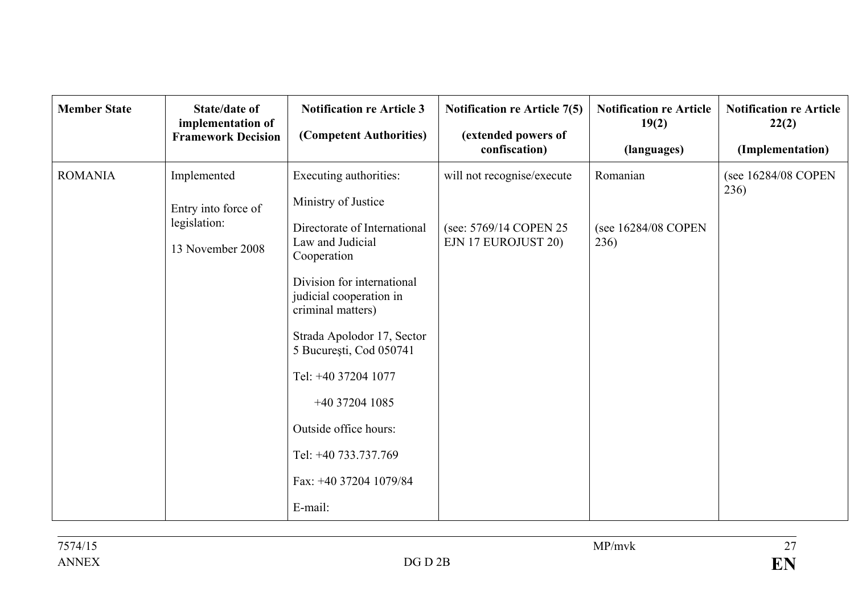| <b>Member State</b> | <b>State/date of</b><br>implementation of<br><b>Framework Decision</b> | <b>Notification re Article 3</b><br>(Competent Authorities)                                                                                                                                                                                                                                                                                       | <b>Notification re Article 7(5)</b><br>(extended powers of<br>confiscation)  | <b>Notification re Article</b><br>19(2)<br>(languages) | <b>Notification re Article</b><br>22(2)<br>(Implementation) |
|---------------------|------------------------------------------------------------------------|---------------------------------------------------------------------------------------------------------------------------------------------------------------------------------------------------------------------------------------------------------------------------------------------------------------------------------------------------|------------------------------------------------------------------------------|--------------------------------------------------------|-------------------------------------------------------------|
| <b>ROMANIA</b>      | Implemented<br>Entry into force of<br>legislation:<br>13 November 2008 | Executing authorities:<br>Ministry of Justice<br>Directorate of International<br>Law and Judicial<br>Cooperation<br>Division for international<br>judicial cooperation in<br>criminal matters)<br>Strada Apolodor 17, Sector<br>5 București, Cod 050741<br>Tel: +40 37204 1077<br>+40 37204 1085<br>Outside office hours:<br>Tel: +40 733.737.769 | will not recognise/execute<br>(see: 5769/14 COPEN 25)<br>EJN 17 EUROJUST 20) | Romanian<br>(see 16284/08 COPEN<br>236)                | (see 16284/08 COPEN<br>236)                                 |
|                     |                                                                        | Fax: +40 37204 1079/84<br>E-mail:                                                                                                                                                                                                                                                                                                                 |                                                                              |                                                        |                                                             |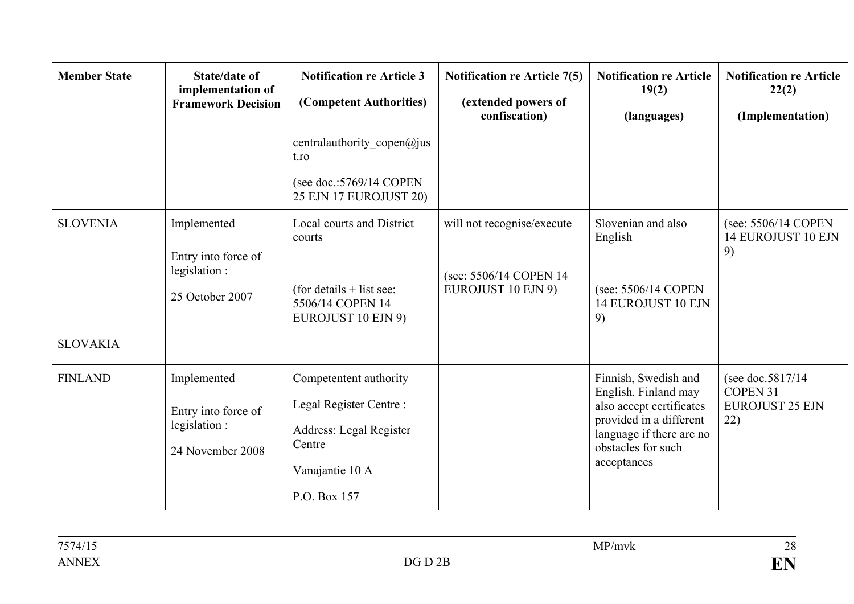| <b>Member State</b> | <b>State/date of</b><br>implementation of<br><b>Framework Decision</b> | <b>Notification re Article 3</b><br>(Competent Authorities)                                                               | <b>Notification re Article 7(5)</b><br>(extended powers of<br>confiscation) | <b>Notification re Article</b><br>19(2)<br>(languages)                                                                                                               | <b>Notification re Article</b><br>22(2)<br>(Implementation)             |
|---------------------|------------------------------------------------------------------------|---------------------------------------------------------------------------------------------------------------------------|-----------------------------------------------------------------------------|----------------------------------------------------------------------------------------------------------------------------------------------------------------------|-------------------------------------------------------------------------|
|                     |                                                                        | centralauthority_copen@jus<br>t.ro<br>(see doc.: $5769/14$ COPEN<br>25 EJN 17 EUROJUST 20)                                |                                                                             |                                                                                                                                                                      |                                                                         |
| <b>SLOVENIA</b>     | Implemented<br>Entry into force of<br>legislation :<br>25 October 2007 | <b>Local courts and District</b><br>courts<br>(for details $+$ list see:<br>5506/14 COPEN 14<br><b>EUROJUST 10 EJN 9)</b> | will not recognise/execute<br>(see: 5506/14 COPEN 14)<br>EUROJUST 10 EJN 9) | Slovenian and also<br>English<br>(see: 5506/14 COPEN<br>14 EUROJUST 10 EJN<br>9)                                                                                     | (see: 5506/14 COPEN<br>14 EUROJUST 10 EJN<br>9)                         |
| <b>SLOVAKIA</b>     |                                                                        |                                                                                                                           |                                                                             |                                                                                                                                                                      |                                                                         |
| <b>FINLAND</b>      | Implemented<br>Entry into force of<br>legislation:<br>24 November 2008 | Competentent authority<br>Legal Register Centre:<br>Address: Legal Register<br>Centre<br>Vanajantie 10 A<br>P.O. Box 157  |                                                                             | Finnish, Swedish and<br>English. Finland may<br>also accept certificates<br>provided in a different<br>language if there are no<br>obstacles for such<br>acceptances | (see doc. $5817/14$<br><b>COPEN 31</b><br><b>EUROJUST 25 EJN</b><br>22) |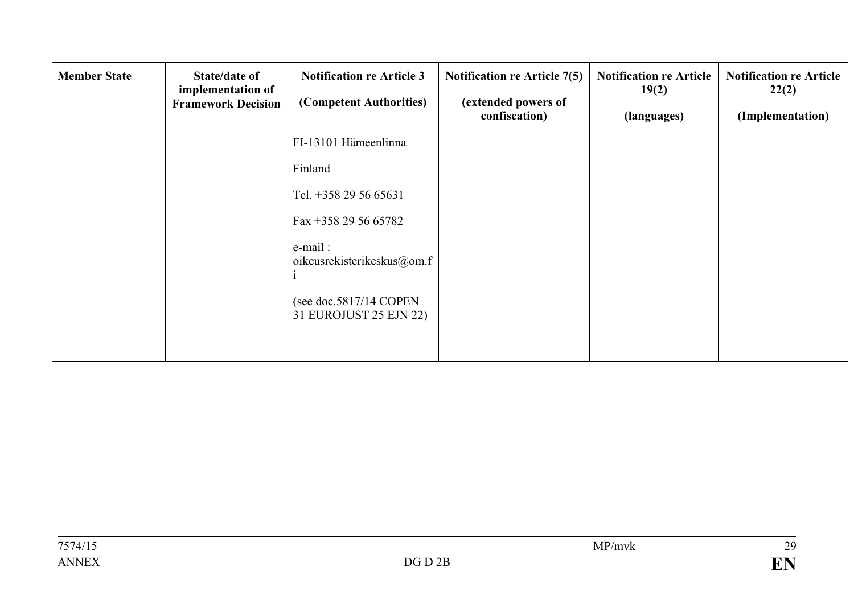| <b>Member State</b> | State/date of<br>implementation of<br><b>Framework Decision</b> | <b>Notification re Article 3</b><br>(Competent Authorities) | <b>Notification re Article 7(5)</b><br>(extended powers of<br>confiscation) | <b>Notification re Article</b><br>19(2)<br>(languages) | <b>Notification re Article</b><br>22(2)<br>(Implementation) |
|---------------------|-----------------------------------------------------------------|-------------------------------------------------------------|-----------------------------------------------------------------------------|--------------------------------------------------------|-------------------------------------------------------------|
|                     |                                                                 | FI-13101 Hämeenlinna                                        |                                                                             |                                                        |                                                             |
|                     |                                                                 | Finland                                                     |                                                                             |                                                        |                                                             |
|                     |                                                                 | Tel. +358 29 56 65631                                       |                                                                             |                                                        |                                                             |
|                     |                                                                 | Fax +358 29 56 65782                                        |                                                                             |                                                        |                                                             |
|                     |                                                                 | e-mail:<br>oikeusrekisterikeskus@om.f                       |                                                                             |                                                        |                                                             |
|                     |                                                                 | (see doc.5817/14 COPEN<br>31 EUROJUST 25 EJN 22)            |                                                                             |                                                        |                                                             |
|                     |                                                                 |                                                             |                                                                             |                                                        |                                                             |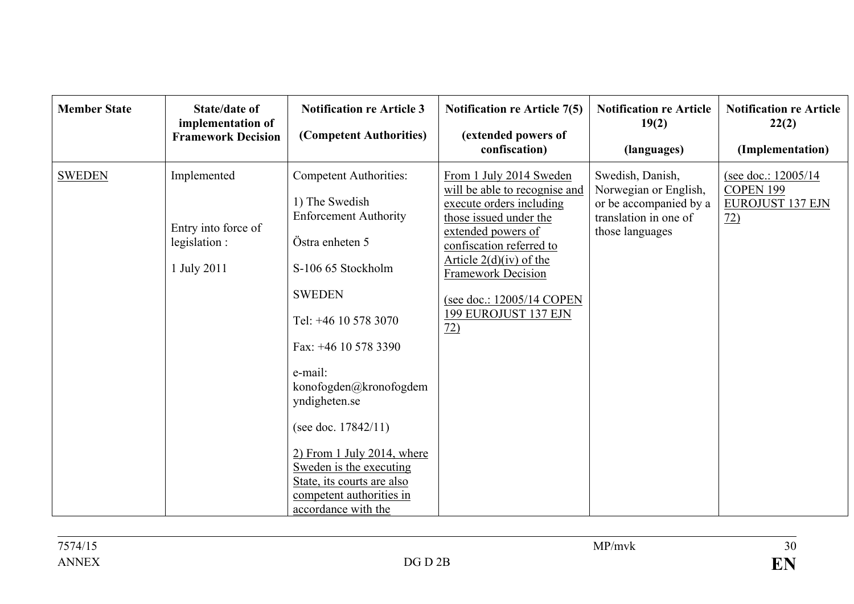| <b>Member State</b> | <b>State/date of</b><br>implementation of<br><b>Framework Decision</b> | <b>Notification re Article 3</b><br>(Competent Authorities)                                                                                                                                                                                                                                                                                                                                                           | <b>Notification re Article 7(5)</b><br>(extended powers of<br>confiscation)                                                                                                                                                                                                                        | <b>Notification re Article</b><br>19(2)<br>(languages)                                                          | <b>Notification re Article</b><br>22(2)<br>(Implementation)                    |
|---------------------|------------------------------------------------------------------------|-----------------------------------------------------------------------------------------------------------------------------------------------------------------------------------------------------------------------------------------------------------------------------------------------------------------------------------------------------------------------------------------------------------------------|----------------------------------------------------------------------------------------------------------------------------------------------------------------------------------------------------------------------------------------------------------------------------------------------------|-----------------------------------------------------------------------------------------------------------------|--------------------------------------------------------------------------------|
| <b>SWEDEN</b>       | Implemented<br>Entry into force of<br>legislation :<br>1 July 2011     | <b>Competent Authorities:</b><br>1) The Swedish<br><b>Enforcement Authority</b><br>Östra enheten 5<br>S-106 65 Stockholm<br><b>SWEDEN</b><br>Tel: +46 10 578 3070<br>Fax: +46 10 578 3390<br>e-mail:<br>konofogden@kronofogdem<br>yndigheten.se<br>(see doc. $17842/11$ )<br>$2)$ From 1 July 2014, where<br>Sweden is the executing<br>State, its courts are also<br>competent authorities in<br>accordance with the | From 1 July 2014 Sweden<br>will be able to recognise and<br>execute orders including<br>those issued under the<br>extended powers of<br>confiscation referred to<br>Article $2(d)(iv)$ of the<br><b>Framework Decision</b><br>(see doc.: 12005/14 COPEN<br>199 EUROJUST 137 EJN<br>$\overline{22}$ | Swedish, Danish,<br>Norwegian or English,<br>or be accompanied by a<br>translation in one of<br>those languages | (see doc.: 12005/14)<br>COPEN 199<br><b>EUROJUST 137 EJN</b><br>$\frac{72}{2}$ |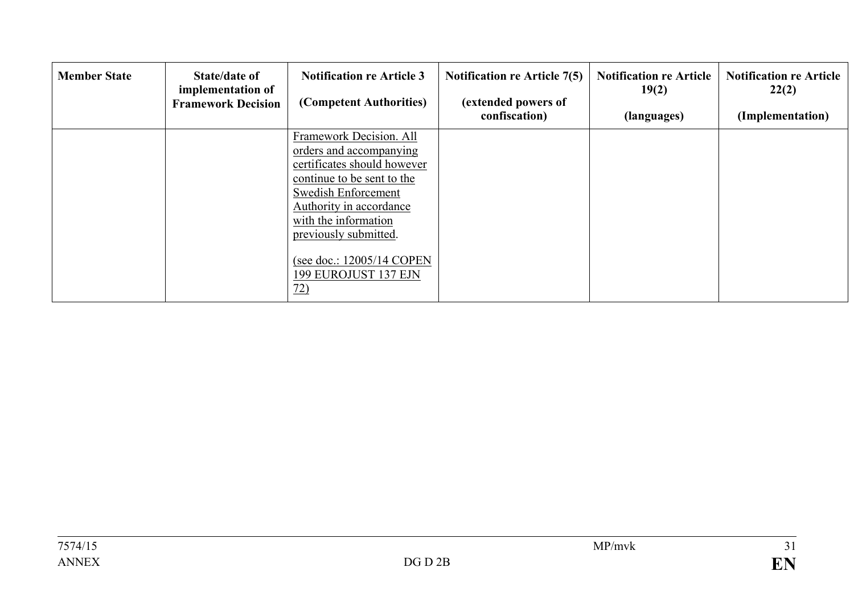| <b>Member State</b> | State/date of<br>implementation of<br><b>Framework Decision</b> | <b>Notification re Article 3</b><br>(Competent Authorities)                                                                                                                                                                                                                    | <b>Notification re Article 7(5)</b><br>(extended powers of<br>confiscation) | <b>Notification re Article</b><br>19(2)<br>(languages) | <b>Notification re Article</b><br>22(2)<br>(Implementation) |
|---------------------|-----------------------------------------------------------------|--------------------------------------------------------------------------------------------------------------------------------------------------------------------------------------------------------------------------------------------------------------------------------|-----------------------------------------------------------------------------|--------------------------------------------------------|-------------------------------------------------------------|
|                     |                                                                 | Framework Decision. All<br>orders and accompanying<br>certificates should however<br>continue to be sent to the<br>Swedish Enforcement<br>Authority in accordance<br>with the information<br>previously submitted.<br>(see doc.: 12005/14 COPEN<br>199 EUROJUST 137 EJN<br>72) |                                                                             |                                                        |                                                             |